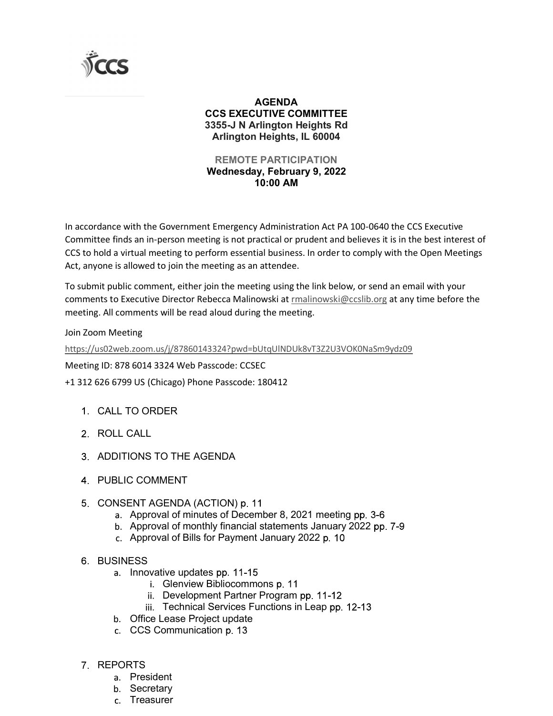

## AGENDA CCS EXECUTIVE COMMITTEE 3355-J N Arlington Heights Rd Arlington Heights, IL 60004

## REMOTE PARTICIPATION Wednesday, February 9, 2022 10:00 AM

In accordance with the Government Emergency Administration Act PA 100-0640 the CCS Executive Committee finds an in-person meeting is not practical or prudent and believes it is in the best interest of CCS to hold a virtual meeting to perform essential business. In order to comply with the Open Meetings Act, anyone is allowed to join the meeting as an attendee. **AGENDA**<br> **CCS EXECUTIVE COMMITTEE**<br>
3355-J M Artington Heights Rd<br>
Artington Eights Read Artington Heights<br> **ARENOTE PARTICIPATION**<br> **Wednesday, February 9, 2022**<br>
10:00 AM<br>
In accordance with the Government Emergency Adm **10:00 AM**<br> **10:00 AM**<br> **10:00 AM**<br> **10:00 AM**<br> **10:00 AM**<br> **10:00 AM**<br> **10:00 AM**<br> **10:00 AM**<br> **10:00 AM**<br> **10:00 AM**<br> **10:00 AM**<br> **10:00 AM**<br> **10:00 AM**<br> **10:00 AM**<br> **10:00 AM**<br> **10:00 AM**<br> **10:00 AM**<br> **10:00 AM**<br> **10:0** dance with the Government Emergency Administration Act PA 100-0640 the CCS Executive<br>tee finds an in-person meeting is not practical or prudent and believes it is in the best interes<br>old a virtual meeting to perform essent

To submit public comment, either join the meeting using the link below, or send an email with your comments to Executive Director Rebecca Malinowski at rmalinowski@ccslib.org at any time before the

Join Zoom Meeting

https://us02web.zoom.us/j/87860143324?pwd=bUtqUlNDUk8vT3Z2U3VOK0NaSm9ydz09

Meeting ID: 878 6014 3324 Web Passcode: CCSEC

+1 312 626 6799 US (Chicago) Phone Passcode: 180412

- 
- 2 ROLL CALL
- 
- PUBLIC COMMENT
- 5 CONSENT AGENDA (ACTION) p. 11
	- a. Approval of minutes of December 8, 2021 meeting pp. 3-6
	- b. Approval of monthly financial statements January 2022 pp. 7-9
	- c. Approval of Bills for Payment January 2022 p. 10

## **6 BUSINESS**

- a. Innovative updates pp. 11-15
	- i. Glenview Bibliocommons p. 11
	- ii. Development Partner Program pp. 11-12
	- iii. Technical Services Functions in Leap pp. 12-13
- b. Office Lease Project update
- c. CCS Communication p. 13
- REPORTS
	- a. President
	- b. Secretary
	- c. Treasurer